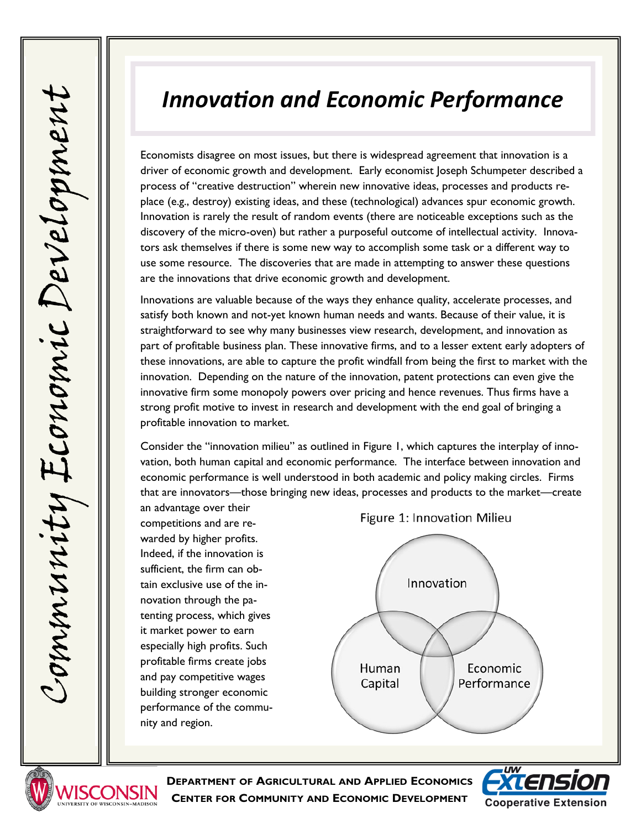## *Innovation and Economic Performance*

Economists disagree on most issues, but there is widespread agreement that innovation is a driver of economic growth and development. Early economist Joseph Schumpeter described a process of "creative destruction" wherein new innovative ideas, processes and products replace (e.g., destroy) existing ideas, and these (technological) advances spur economic growth. Innovation is rarely the result of random events (there are noticeable exceptions such as the discovery of the micro-oven) but rather a purposeful outcome of intellectual activity. Innovators ask themselves if there is some new way to accomplish some task or a different way to use some resource. The discoveries that are made in attempting to answer these questions are the innovations that drive economic growth and development.

Innovations are valuable because of the ways they enhance quality, accelerate processes, and satisfy both known and not-yet known human needs and wants. Because of their value, it is straightforward to see why many businesses view research, development, and innovation as part of profitable business plan. These innovative firms, and to a lesser extent early adopters of these innovations, are able to capture the profit windfall from being the first to market with the innovation. Depending on the nature of the innovation, patent protections can even give the innovative firm some monopoly powers over pricing and hence revenues. Thus firms have a strong profit motive to invest in research and development with the end goal of bringing a profitable innovation to market.

Consider the "innovation milieu" as outlined in Figure 1, which captures the interplay of innovation, both human capital and economic performance. The interface between innovation and economic performance is well understood in both academic and policy making circles. Firms that are innovators—those bringing new ideas, processes and products to the market—create

an advantage over their competitions and are rewarded by higher profits. Indeed, if the innovation is sufficient, the firm can obtain exclusive use of the innovation through the patenting process, which gives it market power to earn especially high profits. Such profitable firms create jobs and pay competitive wages building stronger economic performance of the community and region.







**DEPARTMENT OF AGRICULTURAL AND APPLIED ECONOMICS CENTER FOR COMMUNITY AND ECONOMIC DEVELOPMENT**